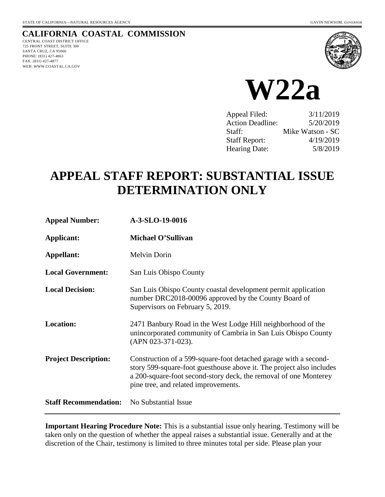## **CALIFORNIA COASTAL COMMISSION**

CENTRAL COAST DISTRICT OFFICE 725 FRONT STREET, SUITE 300 SANTA CRUZ, CA 95060 PHONE: (831) 427-4863 FAX: (831) 427-4877 WEB: WWW.COASTAL.CA.GOV





| Appeal Filed:           | 3/11/2019        |
|-------------------------|------------------|
| <b>Action Deadline:</b> | 5/20/2019        |
| Staff:                  | Mike Watson - SC |
| <b>Staff Report:</b>    | 4/19/2019        |
| Hearing Date:           | 5/8/2019         |

# **APPEAL STAFF REPORT: SUBSTANTIAL ISSUE DETERMINATION ONLY**

| <b>Appeal Number:</b>        | A-3-SLO-19-0016                                                                                                                                                                                                                                      |
|------------------------------|------------------------------------------------------------------------------------------------------------------------------------------------------------------------------------------------------------------------------------------------------|
| Applicant:                   | Michael O'Sullivan                                                                                                                                                                                                                                   |
| Appellant:                   | Melvin Dorin                                                                                                                                                                                                                                         |
| <b>Local Government:</b>     | San Luis Obispo County                                                                                                                                                                                                                               |
| <b>Local Decision:</b>       | San Luis Obispo County coastal development permit application<br>number DRC2018-00096 approved by the County Board of<br>Supervisors on February 5, 2019.                                                                                            |
| <b>Location:</b>             | 2471 Banbury Road in the West Lodge Hill neighborhood of the<br>unincorporated community of Cambria in San Luis Obispo County<br>(APN 023-371-023).                                                                                                  |
| <b>Project Description:</b>  | Construction of a 599-square-foot detached garage with a second-<br>story 599-square-foot guesthouse above it. The project also includes<br>a 200-square-foot second-story deck, the removal of one Monterey<br>pine tree, and related improvements. |
| <b>Staff Recommendation:</b> | No Substantial Issue                                                                                                                                                                                                                                 |

**Important Hearing Procedure Note:** This is a substantial issue only hearing. Testimony will be taken only on the question of whether the appeal raises a substantial issue. Generally and at the discretion of the Chair, testimony is limited to three minutes total per side. Please plan your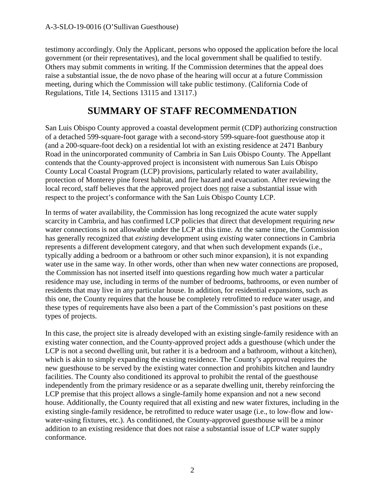testimony accordingly. Only the Applicant, persons who opposed the application before the local government (or their representatives), and the local government shall be qualified to testify. Others may submit comments in writing. If the Commission determines that the appeal does raise a substantial issue, the de novo phase of the hearing will occur at a future Commission meeting, during which the Commission will take public testimony. (California Code of Regulations, Title 14, Sections 13115 and 13117.)

## **SUMMARY OF STAFF RECOMMENDATION**

San Luis Obispo County approved a coastal development permit (CDP) authorizing construction of a detached 599-square-foot garage with a second-story 599-square-foot guesthouse atop it (and a 200-square-foot deck) on a residential lot with an existing residence at 2471 Banbury Road in the unincorporated community of Cambria in San Luis Obispo County. The Appellant contends that the County-approved project is inconsistent with numerous San Luis Obispo County Local Coastal Program (LCP) provisions, particularly related to water availability, protection of Monterey pine forest habitat, and fire hazard and evacuation. After reviewing the local record, staff believes that the approved project does not raise a substantial issue with respect to the project's conformance with the San Luis Obispo County LCP.

In terms of water availability, the Commission has long recognized the acute water supply scarcity in Cambria, and has confirmed LCP policies that direct that development requiring *new* water connections is not allowable under the LCP at this time. At the same time, the Commission has generally recognized that *existing* development using *existing* water connections in Cambria represents a different development category, and that when such development expands (i.e., typically adding a bedroom or a bathroom or other such minor expansion), it is not expanding water use in the same way. In other words, other than when new water connections are proposed, the Commission has not inserted itself into questions regarding how much water a particular residence may use, including in terms of the number of bedrooms, bathrooms, or even number of residents that may live in any particular house. In addition, for residential expansions, such as this one, the County requires that the house be completely retrofitted to reduce water usage, and these types of requirements have also been a part of the Commission's past positions on these types of projects.

In this case, the project site is already developed with an existing single-family residence with an existing water connection, and the County-approved project adds a guesthouse (which under the LCP is not a second dwelling unit, but rather it is a bedroom and a bathroom, without a kitchen), which is akin to simply expanding the existing residence. The County's approval requires the new guesthouse to be served by the existing water connection and prohibits kitchen and laundry facilities. The County also conditioned its approval to prohibit the rental of the guesthouse independently from the primary residence or as a separate dwelling unit, thereby reinforcing the LCP premise that this project allows a single-family home expansion and not a new second house. Additionally, the County required that all existing and new water fixtures, including in the existing single-family residence, be retrofitted to reduce water usage (i.e., to low-flow and lowwater-using fixtures, etc.). As conditioned, the County-approved guesthouse will be a minor addition to an existing residence that does not raise a substantial issue of LCP water supply conformance.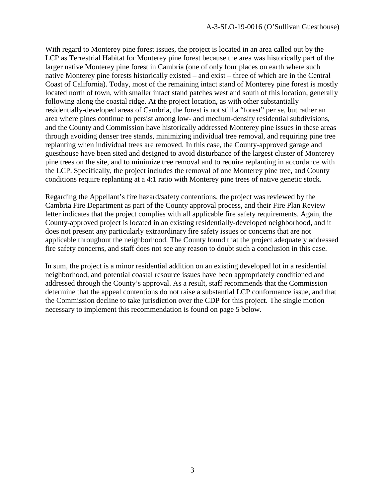With regard to Monterey pine forest issues, the project is located in an area called out by the LCP as Terrestrial Habitat for Monterey pine forest because the area was historically part of the larger native Monterey pine forest in Cambria (one of only four places on earth where such native Monterey pine forests historically existed – and exist – three of which are in the Central Coast of California). Today, most of the remaining intact stand of Monterey pine forest is mostly located north of town, with smaller intact stand patches west and south of this location, generally following along the coastal ridge. At the project location, as with other substantially residentially-developed areas of Cambria, the forest is not still a "forest" per se, but rather an area where pines continue to persist among low- and medium-density residential subdivisions, and the County and Commission have historically addressed Monterey pine issues in these areas through avoiding denser tree stands, minimizing individual tree removal, and requiring pine tree replanting when individual trees are removed. In this case, the County-approved garage and guesthouse have been sited and designed to avoid disturbance of the largest cluster of Monterey pine trees on the site, and to minimize tree removal and to require replanting in accordance with the LCP. Specifically, the project includes the removal of one Monterey pine tree, and County conditions require replanting at a 4:1 ratio with Monterey pine trees of native genetic stock.

Regarding the Appellant's fire hazard/safety contentions, the project was reviewed by the Cambria Fire Department as part of the County approval process, and their Fire Plan Review letter indicates that the project complies with all applicable fire safety requirements. Again, the County-approved project is located in an existing residentially-developed neighborhood, and it does not present any particularly extraordinary fire safety issues or concerns that are not applicable throughout the neighborhood. The County found that the project adequately addressed fire safety concerns, and staff does not see any reason to doubt such a conclusion in this case.

In sum, the project is a minor residential addition on an existing developed lot in a residential neighborhood, and potential coastal resource issues have been appropriately conditioned and addressed through the County's approval. As a result, staff recommends that the Commission determine that the appeal contentions do not raise a substantial LCP conformance issue, and that the Commission decline to take jurisdiction over the CDP for this project. The single motion necessary to implement this recommendation is found on page 5 below.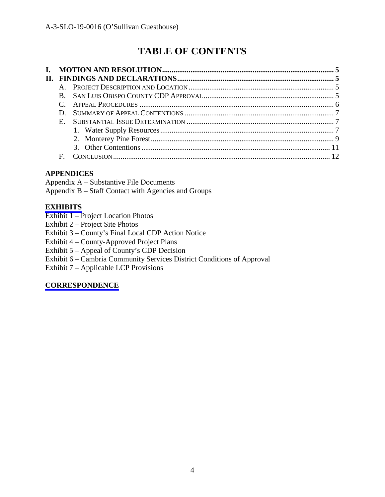# **TABLE OF CONTENTS**

| $E_{\perp}$ |  |
|-------------|--|
|             |  |
|             |  |
|             |  |
| F           |  |

## **APPENDICES**

Appendix A – Substantive File Documents Appendix B – Staff Contact with Agencies and Groups

### **[EXHIBITS](https://documents.coastal.ca.gov/reports/2019/5/W22a/W22a-5-2019-exhibits.pdf)**

- Exhibit 1 Project Location Photos
- Exhibit 2 Project Site Photos
- Exhibit 3 County's Final Local CDP Action Notice
- Exhibit 4 County-Approved Project Plans
- Exhibit 5 Appeal of County's CDP Decision
- Exhibit 6 Cambria Community Services District Conditions of Approval
- Exhibit 7 Applicable LCP Provisions

## **[CORRESPONDENCE](https://documents.coastal.ca.gov/reports/2019/5/W22a/W22a-5-2019-corresp.pdf)**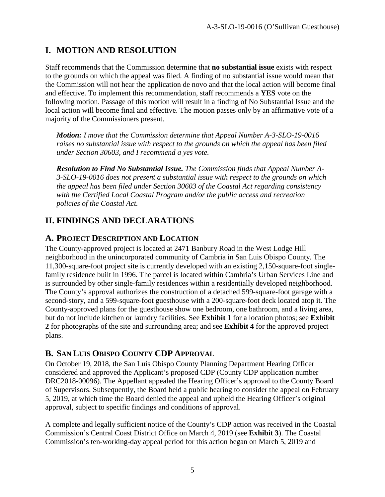## **I. MOTION AND RESOLUTION**

Staff recommends that the Commission determine that **no substantial issue** exists with respect to the grounds on which the appeal was filed. A finding of no substantial issue would mean that the Commission will not hear the application de novo and that the local action will become final and effective. To implement this recommendation, staff recommends a **YES** vote on the following motion. Passage of this motion will result in a finding of No Substantial Issue and the local action will become final and effective. The motion passes only by an affirmative vote of a majority of the Commissioners present.

*Motion: I move that the Commission determine that Appeal Number A-3-SLO-19-0016 raises no substantial issue with respect to the grounds on which the appeal has been filed under Section 30603, and I recommend a yes vote.*

*Resolution to Find No Substantial Issue. The Commission finds that Appeal Number A-3-SLO-19-0016 does not present a substantial issue with respect to the grounds on which the appeal has been filed under Section 30603 of the Coastal Act regarding consistency with the Certified Local Coastal Program and/or the public access and recreation policies of the Coastal Act.*

## **II. FINDINGS AND DECLARATIONS**

## **A. PROJECT DESCRIPTION AND LOCATION**

The County-approved project is located at 2471 Banbury Road in the West Lodge Hill neighborhood in the unincorporated community of Cambria in San Luis Obispo County. The 11,300-square-foot project site is currently developed with an existing 2,150-square-foot singlefamily residence built in 1996. The parcel is located within Cambria's Urban Services Line and is surrounded by other single-family residences within a residentially developed neighborhood. The County's approval authorizes the construction of a detached 599-square-foot garage with a second-story, and a 599-square-foot guesthouse with a 200-square-foot deck located atop it. The County-approved plans for the guesthouse show one bedroom, one bathroom, and a living area, but do not include kitchen or laundry facilities. See **Exhibit 1** for a location photos; see **Exhibit 2** for photographs of the site and surrounding area; and see **Exhibit 4** for the approved project plans.

## **B. SAN LUIS OBISPO COUNTY CDP APPROVAL**

On October 19, 2018, the San Luis Obispo County Planning Department Hearing Officer considered and approved the Applicant's proposed CDP (County CDP application number DRC2018-00096). The Appellant appealed the Hearing Officer's approval to the County Board of Supervisors. Subsequently, the Board held a public hearing to consider the appeal on February 5, 2019, at which time the Board denied the appeal and upheld the Hearing Officer's original approval, subject to specific findings and conditions of approval.

A complete and legally sufficient notice of the County's CDP action was received in the Coastal Commission's Central Coast District Office on March 4, 2019 (see **Exhibit 3**). The Coastal Commission's ten-working-day appeal period for this action began on March 5, 2019 and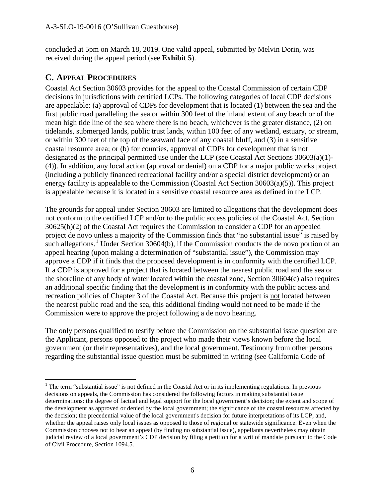concluded at 5pm on March 18, 2019. One valid appeal, submitted by Melvin Dorin, was received during the appeal period (see **Exhibit 5**).

## **C. APPEAL PROCEDURES**

Coastal Act Section 30603 provides for the appeal to the Coastal Commission of certain CDP decisions in jurisdictions with certified LCPs. The following categories of local CDP decisions are appealable: (a) approval of CDPs for development that is located (1) between the sea and the first public road paralleling the sea or within 300 feet of the inland extent of any beach or of the mean high tide line of the sea where there is no beach, whichever is the greater distance, (2) on tidelands, submerged lands, public trust lands, within 100 feet of any wetland, estuary, or stream, or within 300 feet of the top of the seaward face of any coastal bluff, and (3) in a sensitive coastal resource area; or (b) for counties, approval of CDPs for development that is not designated as the principal permitted use under the LCP (see Coastal Act Sections 30603(a)(1)- (4)). In addition, any local action (approval or denial) on a CDP for a major public works project (including a publicly financed recreational facility and/or a special district development) or an energy facility is appealable to the Commission (Coastal Act Section 30603(a)(5)). This project is appealable because it is located in a sensitive coastal resource area as defined in the LCP.

The grounds for appeal under Section 30603 are limited to allegations that the development does not conform to the certified LCP and/or to the public access policies of the Coastal Act. Section 30625(b)(2) of the Coastal Act requires the Commission to consider a CDP for an appealed project de novo unless a majority of the Commission finds that "no substantial issue" is raised by such allegations.<sup>[1](#page-5-0)</sup> Under Section 30604(b), if the Commission conducts the de novo portion of an appeal hearing (upon making a determination of "substantial issue"), the Commission may approve a CDP if it finds that the proposed development is in conformity with the certified LCP. If a CDP is approved for a project that is located between the nearest public road and the sea or the shoreline of any body of water located within the coastal zone, Section 30604(c) also requires an additional specific finding that the development is in conformity with the public access and recreation policies of Chapter 3 of the Coastal Act. Because this project is not located between the nearest public road and the sea, this additional finding would not need to be made if the Commission were to approve the project following a de novo hearing.

The only persons qualified to testify before the Commission on the substantial issue question are the Applicant, persons opposed to the project who made their views known before the local government (or their representatives), and the local government. Testimony from other persons regarding the substantial issue question must be submitted in writing (see California Code of

<span id="page-5-0"></span> $\overline{a}$ <sup>1</sup> The term "substantial issue" is not defined in the Coastal Act or in its implementing regulations. In previous decisions on appeals, the Commission has considered the following factors in making substantial issue determinations: the degree of factual and legal support for the local government's decision; the extent and scope of the development as approved or denied by the local government; the significance of the coastal resources affected by the decision; the precedential value of the local government's decision for future interpretations of its LCP; and, whether the appeal raises only local issues as opposed to those of regional or statewide significance. Even when the Commission chooses not to hear an appeal (by finding no substantial issue), appellants nevertheless may obtain judicial review of a local government's CDP decision by filing a petition for a writ of mandate pursuant to the Code of Civil Procedure, Section 1094.5.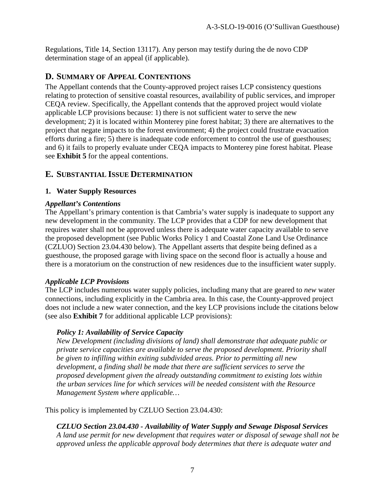Regulations, Title 14, Section 13117). Any person may testify during the de novo CDP determination stage of an appeal (if applicable).

#### **D. SUMMARY OF APPEAL CONTENTIONS**

The Appellant contends that the County-approved project raises LCP consistency questions relating to protection of sensitive coastal resources, availability of public services, and improper CEQA review. Specifically, the Appellant contends that the approved project would violate applicable LCP provisions because: 1) there is not sufficient water to serve the new development; 2) it is located within Monterey pine forest habitat; 3) there are alternatives to the project that negate impacts to the forest environment; 4) the project could frustrate evacuation efforts during a fire; 5) there is inadequate code enforcement to control the use of guesthouses; and 6) it fails to properly evaluate under CEQA impacts to Monterey pine forest habitat. Please see **Exhibit 5** for the appeal contentions.

### **E. SUBSTANTIAL ISSUE DETERMINATION**

#### **1. Water Supply Resources**

#### *Appellant's Contentions*

The Appellant's primary contention is that Cambria's water supply is inadequate to support any new development in the community. The LCP provides that a CDP for new development that requires water shall not be approved unless there is adequate water capacity available to serve the proposed development (see Public Works Policy 1 and Coastal Zone Land Use Ordinance (CZLUO) Section 23.04.430 below). The Appellant asserts that despite being defined as a guesthouse, the proposed garage with living space on the second floor is actually a house and there is a moratorium on the construction of new residences due to the insufficient water supply.

#### *Applicable LCP Provisions*

The LCP includes numerous water supply policies, including many that are geared to *new* water connections, including explicitly in the Cambria area. In this case, the County-approved project does not include a new water connection, and the key LCP provisions include the citations below (see also **Exhibit 7** for additional applicable LCP provisions):

#### *Policy 1: Availability of Service Capacity*

*New Development (including divisions of land) shall demonstrate that adequate public or private service capacities are available to serve the proposed development. Priority shall be given to infilling within exiting subdivided areas. Prior to permitting all new development, a finding shall be made that there are sufficient services to serve the proposed development given the already outstanding commitment to existing lots within the urban services line for which services will be needed consistent with the Resource Management System where applicable…* 

This policy is implemented by CZLUO Section 23.04.430:

*CZLUO Section 23.04.430 - Availability of Water Supply and Sewage Disposal Services A land use permit for new development that requires water or disposal of sewage shall not be approved unless the applicable approval body determines that there is adequate water and*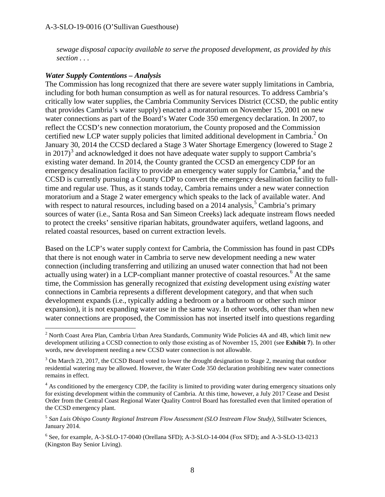*sewage disposal capacity available to serve the proposed development, as provided by this section . . .* 

#### *Water Supply Contentions – Analysis*

The Commission has long recognized that there are severe water supply limitations in Cambria, including for both human consumption as well as for natural resources. To address Cambria's critically low water supplies, the Cambria Community Services District (CCSD, the public entity that provides Cambria's water supply) enacted a moratorium on November 15, 2001 on new water connections as part of the Board's Water Code 350 emergency declaration. In 2007, to reflect the CCSD's new connection moratorium, the County proposed and the Commission certified new LCP water supply policies that limited additional development in Cambria.<sup>[2](#page-7-0)</sup> On January 30, 2014 the CCSD declared a Stage 3 Water Shortage Emergency (lowered to Stage 2 in 2017)<sup>[3](#page-7-1)</sup> and acknowledged it does not have adequate water supply to support Cambria's existing water demand. In 2014, the County granted the CCSD an emergency CDP for an emergency desalination facility to provide an emergency water supply for Cambria,<sup>[4](#page-7-2)</sup> and the CCSD is currently pursuing a County CDP to convert the emergency desalination facility to fulltime and regular use. Thus, as it stands today, Cambria remains under a new water connection moratorium and a Stage 2 water emergency which speaks to the lack of available water. And with respect to natural resources, including based on a 2014 analysis,<sup>[5](#page-7-3)</sup> Cambria's primary sources of water (i.e., Santa Rosa and San Simeon Creeks) lack adequate instream flows needed to protect the creeks' sensitive riparian habitats, groundwater aquifers, wetland lagoons, and related coastal resources, based on current extraction levels.

Based on the LCP's water supply context for Cambria, the Commission has found in past CDPs that there is not enough water in Cambria to serve new development needing a new water connection (including transferring and utilizing an unused water connection that had not been actually using water) in a LCP-compliant manner protective of coastal resources.<sup>[6](#page-7-4)</sup> At the same time, the Commission has generally recognized that *existing* development using *existing* water connections in Cambria represents a different development category, and that when such development expands (i.e., typically adding a bedroom or a bathroom or other such minor expansion), it is not expanding water use in the same way. In other words, other than when new water connections are proposed, the Commission has not inserted itself into questions regarding

<span id="page-7-0"></span> $\overline{a}$  $2$  North Coast Area Plan, Cambria Urban Area Standards, Community Wide Policies 4A and 4B, which limit new development utilizing a CCSD connection to only those existing as of November 15, 2001 (see **Exhibit 7**). In other words, new development needing a new CCSD water connection is not allowable.

<span id="page-7-1"></span><sup>&</sup>lt;sup>3</sup> On March 23, 2017, the CCSD Board voted to lower the drought designation to Stage 2, meaning that outdoor residential watering may be allowed. However, the Water Code 350 declaration prohibiting new water connections remains in effect.

<span id="page-7-2"></span> $<sup>4</sup>$  As conditioned by the emergency CDP, the facility is limited to providing water during emergency situations only</sup> for existing development within the community of Cambria. At this time, however, a July 2017 Cease and Desist Order from the Central Coast Regional Water Quality Control Board has forestalled even that limited operation of the CCSD emergency plant.

<span id="page-7-3"></span><sup>5</sup> *San Luis Obispo County Regional Instream Flow Assessment (SLO Instream Flow Study)*, Stillwater Sciences, January 2014.

<span id="page-7-4"></span> $6$  See, for example, A-3-SLO-17-0040 (Orellana SFD); A-3-SLO-14-004 (Fox SFD); and A-3-SLO-13-0213 (Kingston Bay Senior Living).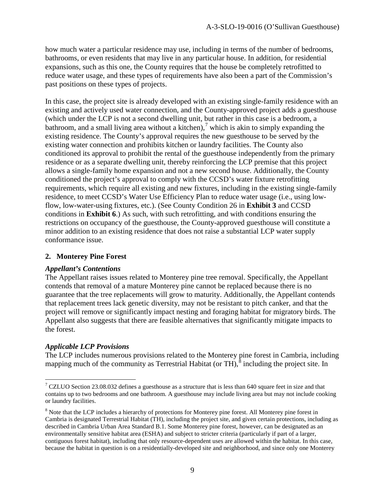how much water a particular residence may use, including in terms of the number of bedrooms, bathrooms, or even residents that may live in any particular house. In addition, for residential expansions, such as this one, the County requires that the house be completely retrofitted to reduce water usage, and these types of requirements have also been a part of the Commission's past positions on these types of projects.

In this case, the project site is already developed with an existing single-family residence with an existing and actively used water connection, and the County-approved project adds a guesthouse (which under the LCP is not a second dwelling unit, but rather in this case is a bedroom, a bathroom, and a small living area without a kitchen),<sup>[7](#page-8-0)</sup> which is akin to simply expanding the existing residence. The County's approval requires the new guesthouse to be served by the existing water connection and prohibits kitchen or laundry facilities. The County also conditioned its approval to prohibit the rental of the guesthouse independently from the primary residence or as a separate dwelling unit, thereby reinforcing the LCP premise that this project allows a single-family home expansion and not a new second house. Additionally, the County conditioned the project's approval to comply with the CCSD's water fixture retrofitting requirements, which require all existing and new fixtures, including in the existing single-family residence, to meet CCSD's Water Use Efficiency Plan to reduce water usage (i.e., using lowflow, low-water-using fixtures, etc.). (See County Condition 26 in **Exhibit 3** and CCSD conditions in **Exhibit 6**.) As such, with such retrofitting, and with conditions ensuring the restrictions on occupancy of the guesthouse, the County-approved guesthouse will constitute a minor addition to an existing residence that does not raise a substantial LCP water supply conformance issue.

#### **2. Monterey Pine Forest**

#### *Appellant's Contentions*

The Appellant raises issues related to Monterey pine tree removal. Specifically, the Appellant contends that removal of a mature Monterey pine cannot be replaced because there is no guarantee that the tree replacements will grow to maturity. Additionally, the Appellant contends that replacement trees lack genetic diversity, may not be resistant to pitch canker, and that the project will remove or significantly impact nesting and foraging habitat for migratory birds. The Appellant also suggests that there are feasible alternatives that significantly mitigate impacts to the forest.

#### *Applicable LCP Provisions*

The LCP includes numerous provisions related to the Monterey pine forest in Cambria, including mapping much of the community as Terrestrial Habitat (or TH), $\delta$  including the project site. In

<span id="page-8-0"></span> $\overline{a}$  $7$  CZLUO Section 23.08.032 defines a guesthouse as a structure that is less than 640 square feet in size and that contains up to two bedrooms and one bathroom. A guesthouse may include living area but may not include cooking or laundry facilities.

<span id="page-8-1"></span><sup>&</sup>lt;sup>8</sup> Note that the LCP includes a hierarchy of protections for Monterey pine forest. All Monterey pine forest in Cambria is designated Terrestrial Habitat (TH), including the project site, and given certain protections, including as described in Cambria Urban Area Standard B.1. Some Monterey pine forest, however, can be designated as an environmentally sensitive habitat area (ESHA) and subject to stricter criteria (particularly if part of a larger, contiguous forest habitat), including that only resource-dependent uses are allowed within the habitat. In this case, because the habitat in question is on a residentially-developed site and neighborhood, and since only one Monterey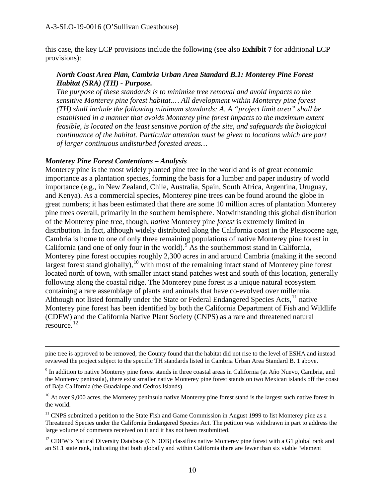this case, the key LCP provisions include the following (see also **Exhibit 7** for additional LCP provisions):

#### *North Coast Area Plan, Cambria Urban Area Standard B.1: Monterey Pine Forest Habitat (SRA) (TH) - Purpose.*

*The purpose of these standards is to minimize tree removal and avoid impacts to the sensitive Monterey pine forest habitat.… All development within Monterey pine forest (TH) shall include the following minimum standards: A. A "project limit area" shall be established in a manner that avoids Monterey pine forest impacts to the maximum extent feasible, is located on the least sensitive portion of the site, and safeguards the biological continuance of the habitat. Particular attention must be given to locations which are part of larger continuous undisturbed forested areas…* 

#### *Monterey Pine Forest Contentions – Analysis*

Monterey pine is the most widely planted pine tree in the world and is of great economic importance as a plantation species, forming the basis for a lumber and paper industry of world importance (e.g., in New Zealand, Chile, Australia, Spain, South Africa, Argentina, Uruguay, and Kenya). As a commercial species, Monterey pine trees can be found around the globe in great numbers; it has been estimated that there are some 10 million acres of plantation Monterey pine trees overall, primarily in the southern hemisphere. Notwithstanding this global distribution of the Monterey pine *tree*, though, *native* Monterey pine *forest* is extremely limited in distribution. In fact, although widely distributed along the California coast in the Pleistocene age, Cambria is home to one of only three remaining populations of native Monterey pine forest in California (and one of only four in the world).  $\overline{S}$  As the southernmost stand in California, Monterey pine forest occupies roughly 2,300 acres in and around Cambria (making it the second largest forest stand globally),<sup>[10](#page-9-1)</sup> with most of the remaining intact stand of Monterey pine forest located north of town, with smaller intact stand patches west and south of this location, generally following along the coastal ridge. The Monterey pine forest is a unique natural ecosystem containing a rare assemblage of plants and animals that have co-evolved over millennia. Although not listed formally under the State or Federal Endangered Species Acts, $<sup>11</sup>$  $<sup>11</sup>$  $<sup>11</sup>$  native</sup> Monterey pine forest has been identified by both the California Department of Fish and Wildlife (CDFW) and the California Native Plant Society (CNPS) as a rare and threatened natural resource. [12](#page-9-3)

 $\overline{a}$ pine tree is approved to be removed, the County found that the habitat did not rise to the level of ESHA and instead reviewed the project subject to the specific TH standards listed in Cambria Urban Area Standard B. 1 above.

<span id="page-9-0"></span><sup>9</sup> In addition to native Monterey pine forest stands in three coastal areas in California (at Año Nuevo, Cambria, and the Monterey peninsula), there exist smaller native Monterey pine forest stands on two Mexican islands off the coast of Baja California (the Guadalupe and Cedros Islands).

<span id="page-9-1"></span> $10$  At over 9,000 acres, the Monterey peninsula native Monterey pine forest stand is the largest such native forest in the world.

<span id="page-9-2"></span> $11$  CNPS submitted a petition to the State Fish and Game Commission in August 1999 to list Monterey pine as a Threatened Species under the California Endangered Species Act. The petition was withdrawn in part to address the large volume of comments received on it and it has not been resubmitted.

<span id="page-9-3"></span><sup>12</sup> CDFW's Natural Diversity Database (CNDDB) classifies native Monterey pine forest with a G1 global rank and an S1.1 state rank, indicating that both globally and within California there are fewer than six viable "element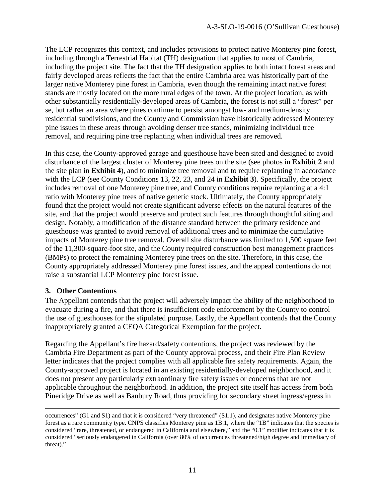The LCP recognizes this context, and includes provisions to protect native Monterey pine forest, including through a Terrestrial Habitat (TH) designation that applies to most of Cambria, including the project site. The fact that the TH designation applies to both intact forest areas and fairly developed areas reflects the fact that the entire Cambria area was historically part of the larger native Monterey pine forest in Cambria, even though the remaining intact native forest stands are mostly located on the more rural edges of the town. At the project location, as with other substantially residentially-developed areas of Cambria, the forest is not still a "forest" per se, but rather an area where pines continue to persist amongst low- and medium-density residential subdivisions, and the County and Commission have historically addressed Monterey pine issues in these areas through avoiding denser tree stands, minimizing individual tree removal, and requiring pine tree replanting when individual trees are removed.

In this case, the County-approved garage and guesthouse have been sited and designed to avoid disturbance of the largest cluster of Monterey pine trees on the site (see photos in **Exhibit 2** and the site plan in **Exhibit 4**), and to minimize tree removal and to require replanting in accordance with the LCP (see County Conditions 13, 22, 23, and 24 in **Exhibit 3**). Specifically, the project includes removal of one Monterey pine tree, and County conditions require replanting at a 4:1 ratio with Monterey pine trees of native genetic stock. Ultimately, the County appropriately found that the project would not create significant adverse effects on the natural features of the site, and that the project would preserve and protect such features through thoughtful siting and design. Notably, a modification of the distance standard between the primary residence and guesthouse was granted to avoid removal of additional trees and to minimize the cumulative impacts of Monterey pine tree removal. Overall site disturbance was limited to 1,500 square feet of the 11,300-square-foot site, and the County required construction best management practices (BMPs) to protect the remaining Monterey pine trees on the site. Therefore, in this case, the County appropriately addressed Monterey pine forest issues, and the appeal contentions do not raise a substantial LCP Monterey pine forest issue.

#### **3. Other Contentions**

The Appellant contends that the project will adversely impact the ability of the neighborhood to evacuate during a fire, and that there is insufficient code enforcement by the County to control the use of guesthouses for the stipulated purpose. Lastly, the Appellant contends that the County inappropriately granted a CEQA Categorical Exemption for the project.

Regarding the Appellant's fire hazard/safety contentions, the project was reviewed by the Cambria Fire Department as part of the County approval process, and their Fire Plan Review letter indicates that the project complies with all applicable fire safety requirements. Again, the County-approved project is located in an existing residentially-developed neighborhood, and it does not present any particularly extraordinary fire safety issues or concerns that are not applicable throughout the neighborhood. In addition, the project site itself has access from both Pineridge Drive as well as Banbury Road, thus providing for secondary street ingress/egress in

occurrences" (G1 and S1) and that it is considered "very threatened" (S1.1), and designates native Monterey pine forest as a rare community type. CNPS classifies Monterey pine as 1B.1, where the "1B" indicates that the species is considered "rare, threatened, or endangered in California and elsewhere," and the "0.1" modifier indicates that it is considered "seriously endangered in California (over 80% of occurrences threatened/high degree and immediacy of threat)."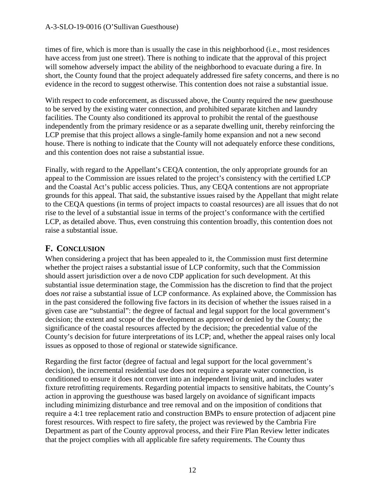times of fire, which is more than is usually the case in this neighborhood (i.e., most residences have access from just one street). There is nothing to indicate that the approval of this project will somehow adversely impact the ability of the neighborhood to evacuate during a fire. In short, the County found that the project adequately addressed fire safety concerns, and there is no evidence in the record to suggest otherwise. This contention does not raise a substantial issue.

With respect to code enforcement, as discussed above, the County required the new guesthouse to be served by the existing water connection, and prohibited separate kitchen and laundry facilities. The County also conditioned its approval to prohibit the rental of the guesthouse independently from the primary residence or as a separate dwelling unit, thereby reinforcing the LCP premise that this project allows a single-family home expansion and not a new second house. There is nothing to indicate that the County will not adequately enforce these conditions, and this contention does not raise a substantial issue.

Finally, with regard to the Appellant's CEQA contention, the only appropriate grounds for an appeal to the Commission are issues related to the project's consistency with the certified LCP and the Coastal Act's public access policies. Thus, any CEQA contentions are not appropriate grounds for this appeal. That said, the substantive issues raised by the Appellant that might relate to the CEQA questions (in terms of project impacts to coastal resources) are all issues that do not rise to the level of a substantial issue in terms of the project's conformance with the certified LCP, as detailed above. Thus, even construing this contention broadly, this contention does not raise a substantial issue.

## **F. CONCLUSION**

When considering a project that has been appealed to it, the Commission must first determine whether the project raises a substantial issue of LCP conformity, such that the Commission should assert jurisdiction over a de novo CDP application for such development. At this substantial issue determination stage, the Commission has the discretion to find that the project does *not* raise a substantial issue of LCP conformance. As explained above, the Commission has in the past considered the following five factors in its decision of whether the issues raised in a given case are "substantial": the degree of factual and legal support for the local government's decision; the extent and scope of the development as approved or denied by the County; the significance of the coastal resources affected by the decision; the precedential value of the County's decision for future interpretations of its LCP; and, whether the appeal raises only local issues as opposed to those of regional or statewide significance.

Regarding the first factor (degree of factual and legal support for the local government's decision), the incremental residential use does not require a separate water connection, is conditioned to ensure it does not convert into an independent living unit, and includes water fixture retrofitting requirements. Regarding potential impacts to sensitive habitats, the County's action in approving the guesthouse was based largely on avoidance of significant impacts including minimizing disturbance and tree removal and on the imposition of conditions that require a 4:1 tree replacement ratio and construction BMPs to ensure protection of adjacent pine forest resources. With respect to fire safety, the project was reviewed by the Cambria Fire Department as part of the County approval process, and their Fire Plan Review letter indicates that the project complies with all applicable fire safety requirements. The County thus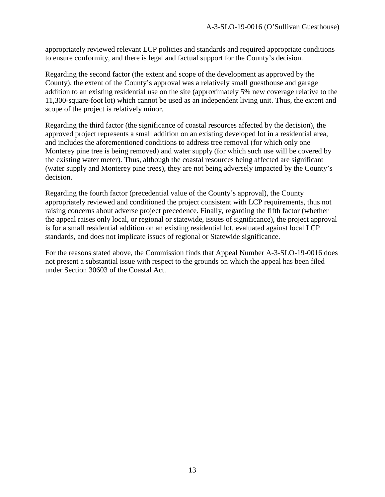appropriately reviewed relevant LCP policies and standards and required appropriate conditions to ensure conformity, and there is legal and factual support for the County's decision.

Regarding the second factor (the extent and scope of the development as approved by the County), the extent of the County's approval was a relatively small guesthouse and garage addition to an existing residential use on the site (approximately 5% new coverage relative to the 11,300-square-foot lot) which cannot be used as an independent living unit. Thus, the extent and scope of the project is relatively minor.

Regarding the third factor (the significance of coastal resources affected by the decision), the approved project represents a small addition on an existing developed lot in a residential area, and includes the aforementioned conditions to address tree removal (for which only one Monterey pine tree is being removed) and water supply (for which such use will be covered by the existing water meter). Thus, although the coastal resources being affected are significant (water supply and Monterey pine trees), they are not being adversely impacted by the County's decision.

Regarding the fourth factor (precedential value of the County's approval), the County appropriately reviewed and conditioned the project consistent with LCP requirements, thus not raising concerns about adverse project precedence. Finally, regarding the fifth factor (whether the appeal raises only local, or regional or statewide, issues of significance), the project approval is for a small residential addition on an existing residential lot, evaluated against local LCP standards, and does not implicate issues of regional or Statewide significance.

For the reasons stated above, the Commission finds that Appeal Number A-3-SLO-19-0016 does not present a substantial issue with respect to the grounds on which the appeal has been filed under Section 30603 of the Coastal Act.